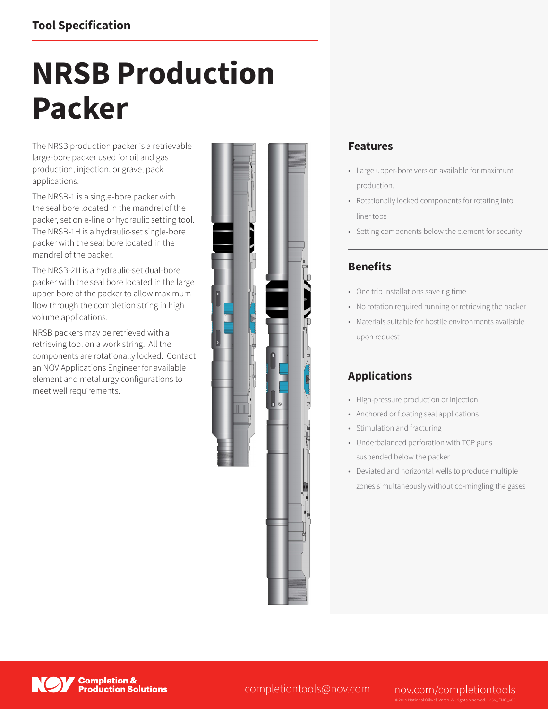# **Tool Specification**

# **NRSB Production Packer**

The NRSB production packer is a retrievable large-bore packer used for oil and gas production, injection, or gravel pack applications.

The NRSB-1 is a single-bore packer with the seal bore located in the mandrel of the packer, set on e-line or hydraulic setting tool. The NRSB-1H is a hydraulic-set single-bore packer with the seal bore located in the mandrel of the packer.

The NRSB-2H is a hydraulic-set dual-bore packer with the seal bore located in the large upper-bore of the packer to allow maximum flow through the completion string in high volume applications.

NRSB packers may be retrieved with a retrieving tool on a work string. All the components are rotationally locked. Contact an NOV Applications Engineer for available element and metallurgy configurations to meet well requirements.



### **Features**

- Large upper-bore version available for maximum production.
- Rotationally locked components for rotating into liner tops
- Setting components below the element for security

## **Benefits**

- One trip installations save rig time
- No rotation required running or retrieving the packer
- Materials suitable for hostile environments available upon request

## **Applications**

- High-pressure production or injection
- Anchored or floating seal applications
- Stimulation and fracturing
- Underbalanced perforation with TCP guns suspended below the packer
- Deviated and horizontal wells to produce multiple zones simultaneously without co-mingling the gases



**Completion & Production Solutions** 

completiontools@nov.com nov.com/completiontools

©2019 National Oilwell Varco. All rights reserved. 1236\_ENG\_v03